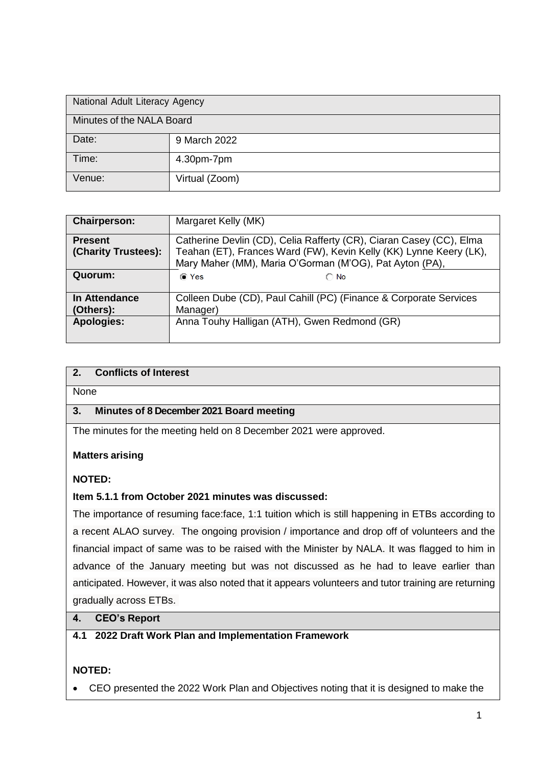| National Adult Literacy Agency |                |  |
|--------------------------------|----------------|--|
| Minutes of the NALA Board      |                |  |
| Date:                          | 9 March 2022   |  |
| Time:                          | 4.30pm-7pm     |  |
| Venue:                         | Virtual (Zoom) |  |

| <b>Chairperson:</b> | Margaret Kelly (MK)                                                 |  |  |
|---------------------|---------------------------------------------------------------------|--|--|
| <b>Present</b>      | Catherine Devlin (CD), Celia Rafferty (CR), Ciaran Casey (CC), Elma |  |  |
| (Charity Trustees): | Teahan (ET), Frances Ward (FW), Kevin Kelly (KK) Lynne Keery (LK),  |  |  |
|                     | Mary Maher (MM), Maria O'Gorman (M'OG), Pat Ayton (PA),             |  |  |
| Quorum:             | (o Yes<br>$\cap$ No                                                 |  |  |
| In Attendance       | Colleen Dube (CD), Paul Cahill (PC) (Finance & Corporate Services   |  |  |
| (Others):           | Manager)                                                            |  |  |
| <b>Apologies:</b>   | Anna Touhy Halligan (ATH), Gwen Redmond (GR)                        |  |  |

## **2. Conflicts of Interest**

None

### **3. Minutes of 8 December 2021 Board meeting**

The minutes for the meeting held on 8 December 2021 were approved.

#### **Matters arising**

### **NOTED:**

#### **Item 5.1.1 from October 2021 minutes was discussed:**

The importance of resuming face:face, 1:1 tuition which is still happening in ETBs according to a recent ALAO survey. The ongoing provision / importance and drop off of volunteers and the financial impact of same was to be raised with the Minister by NALA. It was flagged to him in advance of the January meeting but was not discussed as he had to leave earlier than anticipated. However, it was also noted that it appears volunteers and tutor training are returning gradually across ETBs.

#### **4. CEO's Report**

### **4.1 2022 Draft Work Plan and Implementation Framework**

### **NOTED:**

CEO presented the 2022 Work Plan and Objectives noting that it is designed to make the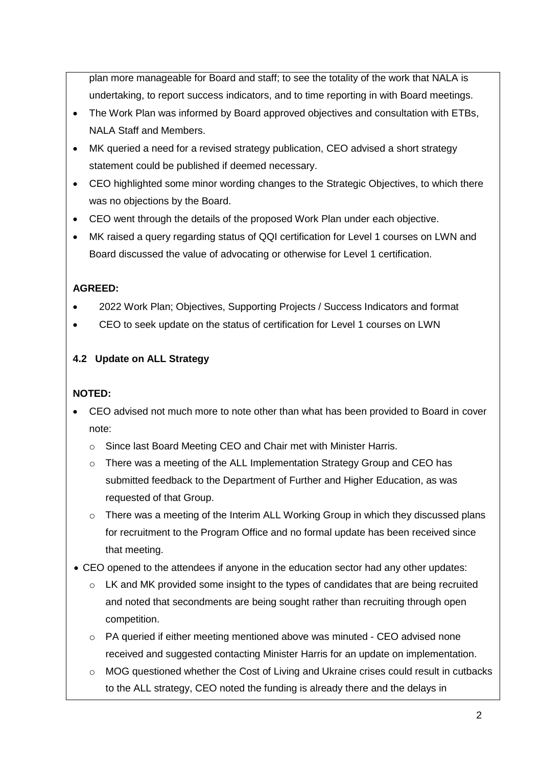plan more manageable for Board and staff; to see the totality of the work that NALA is undertaking, to report success indicators, and to time reporting in with Board meetings.

- The Work Plan was informed by Board approved objectives and consultation with ETBs, NALA Staff and Members.
- MK queried a need for a revised strategy publication, CEO advised a short strategy statement could be published if deemed necessary.
- CEO highlighted some minor wording changes to the Strategic Objectives, to which there was no objections by the Board.
- CEO went through the details of the proposed Work Plan under each objective.
- MK raised a query regarding status of QQI certification for Level 1 courses on LWN and Board discussed the value of advocating or otherwise for Level 1 certification.

# **AGREED:**

- 2022 Work Plan; Objectives, Supporting Projects / Success Indicators and format
- CEO to seek update on the status of certification for Level 1 courses on LWN

## **4.2 Update on ALL Strategy**

- CEO advised not much more to note other than what has been provided to Board in cover note:
	- o Since last Board Meeting CEO and Chair met with Minister Harris.
	- $\circ$  There was a meeting of the ALL Implementation Strategy Group and CEO has submitted feedback to the Department of Further and Higher Education, as was requested of that Group.
	- $\circ$  There was a meeting of the Interim ALL Working Group in which they discussed plans for recruitment to the Program Office and no formal update has been received since that meeting.
- CEO opened to the attendees if anyone in the education sector had any other updates:
	- $\circ$  LK and MK provided some insight to the types of candidates that are being recruited and noted that secondments are being sought rather than recruiting through open competition.
	- $\circ$  PA queried if either meeting mentioned above was minuted CEO advised none received and suggested contacting Minister Harris for an update on implementation.
	- o MOG questioned whether the Cost of Living and Ukraine crises could result in cutbacks to the ALL strategy, CEO noted the funding is already there and the delays in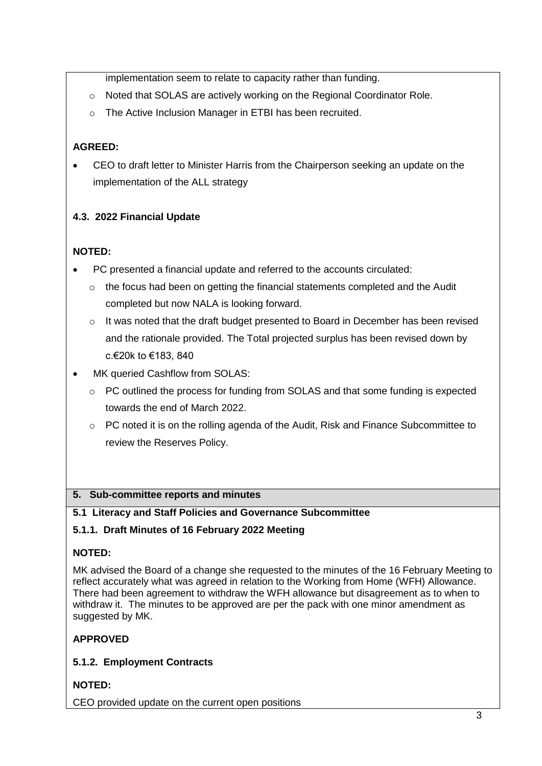implementation seem to relate to capacity rather than funding.

- $\circ$  Noted that SOLAS are actively working on the Regional Coordinator Role.
- o The Active Inclusion Manager in ETBI has been recruited.

## **AGREED:**

 CEO to draft letter to Minister Harris from the Chairperson seeking an update on the implementation of the ALL strategy

## **4.3. 2022 Financial Update**

## **NOTED:**

- PC presented a financial update and referred to the accounts circulated:
	- $\circ$  the focus had been on getting the financial statements completed and the Audit completed but now NALA is looking forward.
	- $\circ$  It was noted that the draft budget presented to Board in December has been revised and the rationale provided. The Total projected surplus has been revised down by c.€20k to €183, 840
- MK queried Cashflow from SOLAS:
	- $\circ$  PC outlined the process for funding from SOLAS and that some funding is expected towards the end of March 2022.
	- $\circ$  PC noted it is on the rolling agenda of the Audit, Risk and Finance Subcommittee to review the Reserves Policy.

### **5. Sub-committee reports and minutes**

### **5.1 Literacy and Staff Policies and Governance Subcommittee**

### **5.1.1. Draft Minutes of 16 February 2022 Meeting**

### **NOTED:**

MK advised the Board of a change she requested to the minutes of the 16 February Meeting to reflect accurately what was agreed in relation to the Working from Home (WFH) Allowance. There had been agreement to withdraw the WFH allowance but disagreement as to when to withdraw it. The minutes to be approved are per the pack with one minor amendment as suggested by MK.

### **APPROVED**

### **5.1.2. Employment Contracts**

**NOTED:**

CEO provided update on the current open positions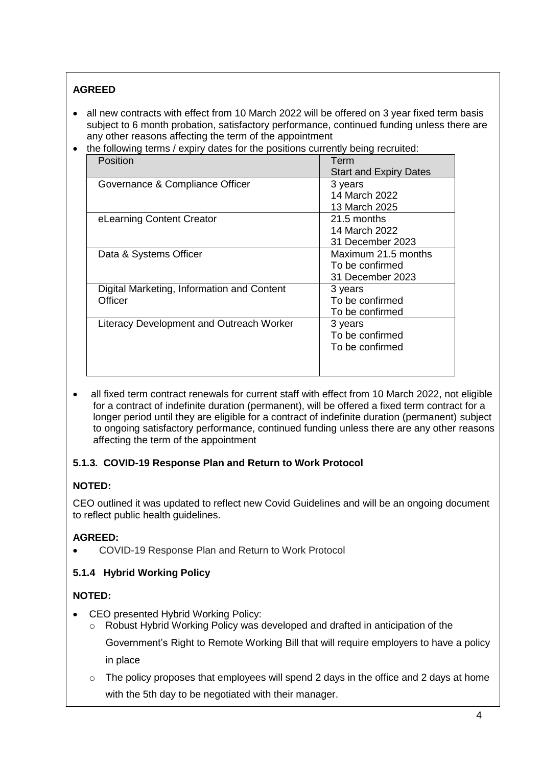# **AGREED**

- all new contracts with effect from 10 March 2022 will be offered on 3 year fixed term basis subject to 6 month probation, satisfactory performance, continued funding unless there are any other reasons affecting the term of the appointment
- the following terms / expiry dates for the positions currently being recruited:

| Position                                              | Term<br><b>Start and Expiry Dates</b>                             |
|-------------------------------------------------------|-------------------------------------------------------------------|
| Governance & Compliance Officer                       | 3 years<br>14 March 2022                                          |
| eLearning Content Creator                             | 13 March 2025<br>21.5 months<br>14 March 2022<br>31 December 2023 |
| Data & Systems Officer                                | Maximum 21.5 months<br>To be confirmed<br>31 December 2023        |
| Digital Marketing, Information and Content<br>Officer | 3 years<br>To be confirmed<br>To be confirmed                     |
| Literacy Development and Outreach Worker              | 3 years<br>To be confirmed<br>To be confirmed                     |

• all fixed term contract renewals for current staff with effect from 10 March 2022, not eligible for a contract of indefinite duration (permanent), will be offered a fixed term contract for a longer period until they are eligible for a contract of indefinite duration (permanent) subject to ongoing satisfactory performance, continued funding unless there are any other reasons affecting the term of the appointment

## **5.1.3. COVID-19 Response Plan and Return to Work Protocol**

# **NOTED:**

CEO outlined it was updated to reflect new Covid Guidelines and will be an ongoing document to reflect public health guidelines.

# **AGREED:**

COVID-19 Response Plan and Return to Work Protocol

## **5.1.4 Hybrid Working Policy**

- CEO presented Hybrid Working Policy:
	- $\circ$  Robust Hybrid Working Policy was developed and drafted in anticipation of the Government's Right to Remote Working Bill that will require employers to have a policy in place
	- o The policy proposes that employees will spend 2 days in the office and 2 days at home with the 5th day to be negotiated with their manager.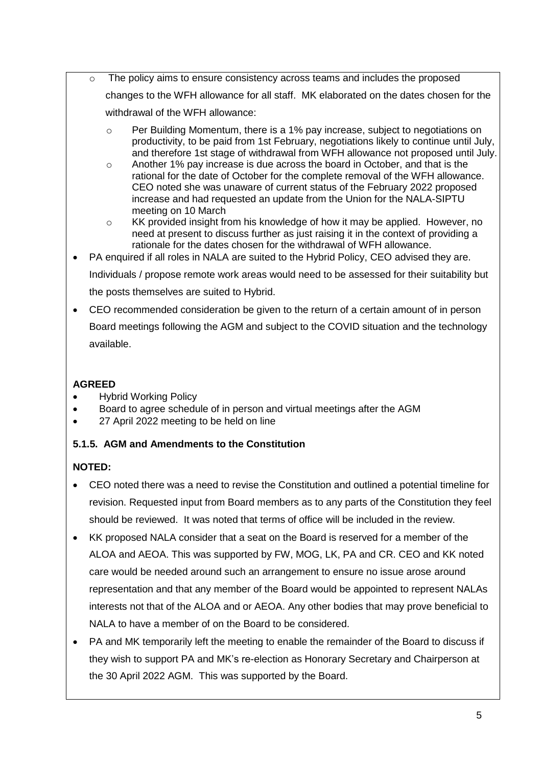- o The policy aims to ensure consistency across teams and includes the proposed changes to the WFH allowance for all staff. MK elaborated on the dates chosen for the withdrawal of the WFH allowance:
	- $\circ$  Per Building Momentum, there is a 1% pay increase, subject to negotiations on productivity, to be paid from 1st February, negotiations likely to continue until July, and therefore 1st stage of withdrawal from WFH allowance not proposed until July.
	- o Another 1% pay increase is due across the board in October, and that is the rational for the date of October for the complete removal of the WFH allowance. CEO noted she was unaware of current status of the February 2022 proposed increase and had requested an update from the Union for the NALA-SIPTU meeting on 10 March
	- $\circ$  KK provided insight from his knowledge of how it may be applied. However, no need at present to discuss further as just raising it in the context of providing a rationale for the dates chosen for the withdrawal of WFH allowance.
- PA enquired if all roles in NALA are suited to the Hybrid Policy, CEO advised they are. Individuals / propose remote work areas would need to be assessed for their suitability but

the posts themselves are suited to Hybrid.

 CEO recommended consideration be given to the return of a certain amount of in person Board meetings following the AGM and subject to the COVID situation and the technology available.

# **AGREED**

- Hybrid Working Policy
- Board to agree schedule of in person and virtual meetings after the AGM
- 27 April 2022 meeting to be held on line

# **5.1.5. AGM and Amendments to the Constitution**

- CEO noted there was a need to revise the Constitution and outlined a potential timeline for revision. Requested input from Board members as to any parts of the Constitution they feel should be reviewed. It was noted that terms of office will be included in the review.
- KK proposed NALA consider that a seat on the Board is reserved for a member of the ALOA and AEOA. This was supported by FW, MOG, LK, PA and CR. CEO and KK noted care would be needed around such an arrangement to ensure no issue arose around representation and that any member of the Board would be appointed to represent NALAs interests not that of the ALOA and or AEOA. Any other bodies that may prove beneficial to NALA to have a member of on the Board to be considered.
- PA and MK temporarily left the meeting to enable the remainder of the Board to discuss if they wish to support PA and MK's re-election as Honorary Secretary and Chairperson at the 30 April 2022 AGM. This was supported by the Board.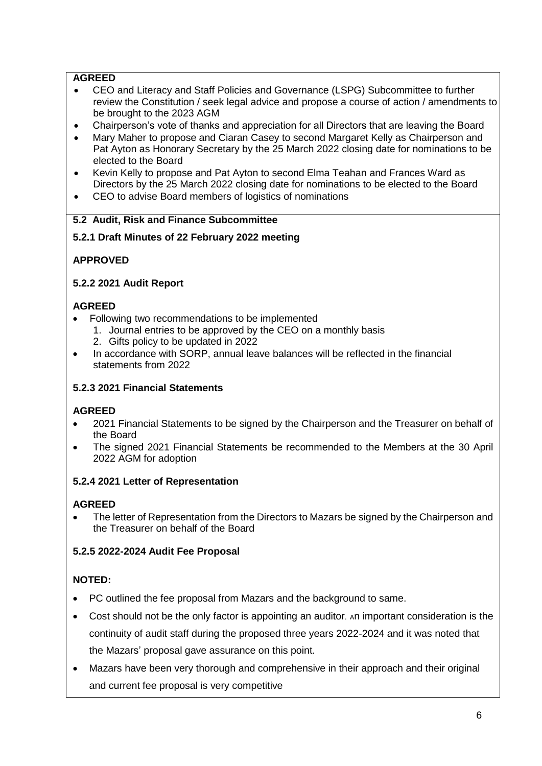## **AGREED**

- CEO and Literacy and Staff Policies and Governance (LSPG) Subcommittee to further review the Constitution / seek legal advice and propose a course of action / amendments to be brought to the 2023 AGM
- Chairperson's vote of thanks and appreciation for all Directors that are leaving the Board
- Mary Maher to propose and Ciaran Casey to second Margaret Kelly as Chairperson and Pat Ayton as Honorary Secretary by the 25 March 2022 closing date for nominations to be elected to the Board
- Kevin Kelly to propose and Pat Ayton to second Elma Teahan and Frances Ward as Directors by the 25 March 2022 closing date for nominations to be elected to the Board
- CEO to advise Board members of logistics of nominations

### **5.2 Audit, Risk and Finance Subcommittee**

### **5.2.1 Draft Minutes of 22 February 2022 meeting**

### **APPROVED**

### **5.2.2 2021 Audit Report**

### **AGREED**

- Following two recommendations to be implemented
	- 1. Journal entries to be approved by the CEO on a monthly basis
	- 2. Gifts policy to be updated in 2022
- In accordance with SORP, annual leave balances will be reflected in the financial statements from 2022

### **5.2.3 2021 Financial Statements**

### **AGREED**

- 2021 Financial Statements to be signed by the Chairperson and the Treasurer on behalf of the Board
- The signed 2021 Financial Statements be recommended to the Members at the 30 April 2022 AGM for adoption

### **5.2.4 2021 Letter of Representation**

### **AGREED**

 The letter of Representation from the Directors to Mazars be signed by the Chairperson and the Treasurer on behalf of the Board

### **5.2.5 2022-2024 Audit Fee Proposal**

- PC outlined the fee proposal from Mazars and the background to same.
- Cost should not be the only factor is appointing an auditor. An important consideration is the continuity of audit staff during the proposed three years 2022-2024 and it was noted that the Mazars' proposal gave assurance on this point.
- Mazars have been very thorough and comprehensive in their approach and their original and current fee proposal is very competitive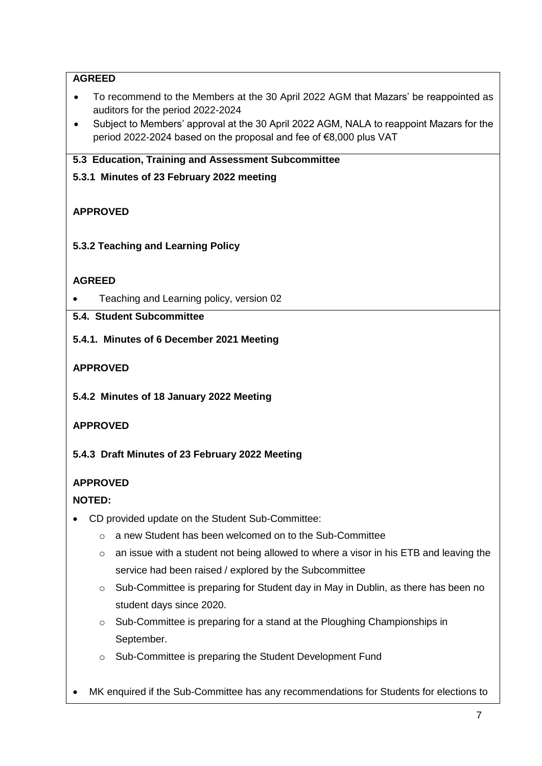## **AGREED**

- To recommend to the Members at the 30 April 2022 AGM that Mazars' be reappointed as auditors for the period 2022-2024
- Subject to Members' approval at the 30 April 2022 AGM, NALA to reappoint Mazars for the period 2022-2024 based on the proposal and fee of €8,000 plus VAT

## **5.3 Education, Training and Assessment Subcommittee**

**5.3.1 Minutes of 23 February 2022 meeting** 

## **APPROVED**

**5.3.2 Teaching and Learning Policy**

## **AGREED**

Teaching and Learning policy, version 02

## **5.4. Student Subcommittee**

**5.4.1. Minutes of 6 December 2021 Meeting** 

## **APPROVED**

**5.4.2 Minutes of 18 January 2022 Meeting**

## **APPROVED**

**5.4.3 Draft Minutes of 23 February 2022 Meeting**

## **APPROVED**

- CD provided update on the Student Sub-Committee:
	- o a new Student has been welcomed on to the Sub-Committee
	- $\circ$  an issue with a student not being allowed to where a visor in his ETB and leaving the service had been raised / explored by the Subcommittee
	- o Sub-Committee is preparing for Student day in May in Dublin, as there has been no student days since 2020.
	- $\circ$  Sub-Committee is preparing for a stand at the Ploughing Championships in September.
	- o Sub-Committee is preparing the Student Development Fund
- MK enquired if the Sub-Committee has any recommendations for Students for elections to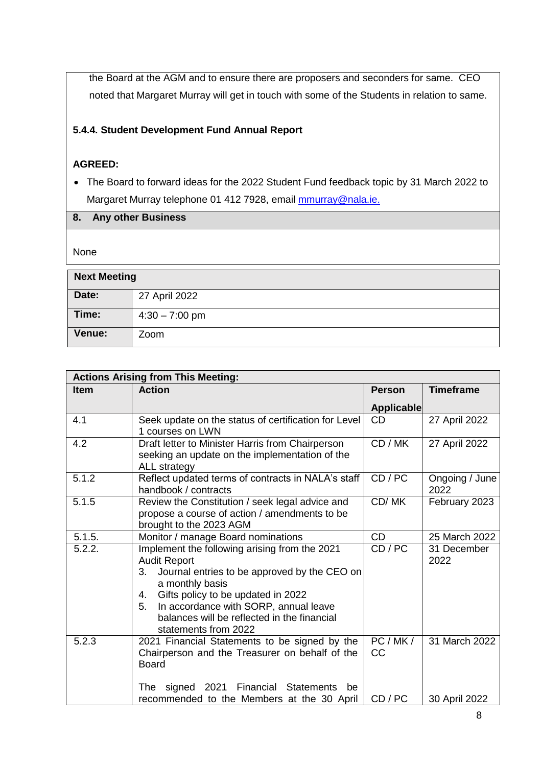the Board at the AGM and to ensure there are proposers and seconders for same. CEO noted that Margaret Murray will get in touch with some of the Students in relation to same.

## **5.4.4. Student Development Fund Annual Report**

### **AGREED:**

 The Board to forward ideas for the 2022 Student Fund feedback topic by 31 March 2022 to Margaret Murray telephone 01 412 7928, email [mmurray@nala.ie.](mailto:mmurray@nala.ie)

| 8. Any other Business |
|-----------------------|

None

| <b>Next Meeting</b> |                  |  |
|---------------------|------------------|--|
| Date:               | 27 April 2022    |  |
| Time:               | $4:30 - 7:00$ pm |  |
| Venue:              | Zoom             |  |

| <b>Actions Arising from This Meeting:</b> |                                                                                                                                                                                                                                                                                                                 |                     |                        |
|-------------------------------------------|-----------------------------------------------------------------------------------------------------------------------------------------------------------------------------------------------------------------------------------------------------------------------------------------------------------------|---------------------|------------------------|
| <b>Item</b>                               | <b>Action</b>                                                                                                                                                                                                                                                                                                   | <b>Person</b>       | <b>Timeframe</b>       |
|                                           |                                                                                                                                                                                                                                                                                                                 | <b>Applicable</b>   |                        |
| 4.1                                       | Seek update on the status of certification for Level<br>1 courses on LWN                                                                                                                                                                                                                                        | <b>CD</b>           | 27 April 2022          |
| 4.2                                       | Draft letter to Minister Harris from Chairperson<br>seeking an update on the implementation of the<br>ALL strategy                                                                                                                                                                                              | CD / MK             | 27 April 2022          |
| 5.1.2                                     | Reflect updated terms of contracts in NALA's staff<br>handbook / contracts                                                                                                                                                                                                                                      | CD / PC             | Ongoing / June<br>2022 |
| 5.1.5                                     | Review the Constitution / seek legal advice and<br>propose a course of action / amendments to be<br>brought to the 2023 AGM                                                                                                                                                                                     | CD/MK               | February 2023          |
| 5.1.5.                                    | Monitor / manage Board nominations                                                                                                                                                                                                                                                                              | <b>CD</b>           | 25 March 2022          |
| 5.2.2.                                    | Implement the following arising from the 2021<br><b>Audit Report</b><br>3.<br>Journal entries to be approved by the CEO on<br>a monthly basis<br>Gifts policy to be updated in 2022<br>4.<br>In accordance with SORP, annual leave<br>5.<br>balances will be reflected in the financial<br>statements from 2022 | CD/PC               | 31 December<br>2022    |
| 5.2.3                                     | 2021 Financial Statements to be signed by the<br>Chairperson and the Treasurer on behalf of the<br><b>Board</b><br>signed 2021<br>Financial<br><b>Statements</b><br>The<br>be                                                                                                                                   | PC/MK/<br><b>CC</b> | 31 March 2022          |
|                                           | recommended to the Members at the 30 April                                                                                                                                                                                                                                                                      | CD/PC               | 30 April 2022          |